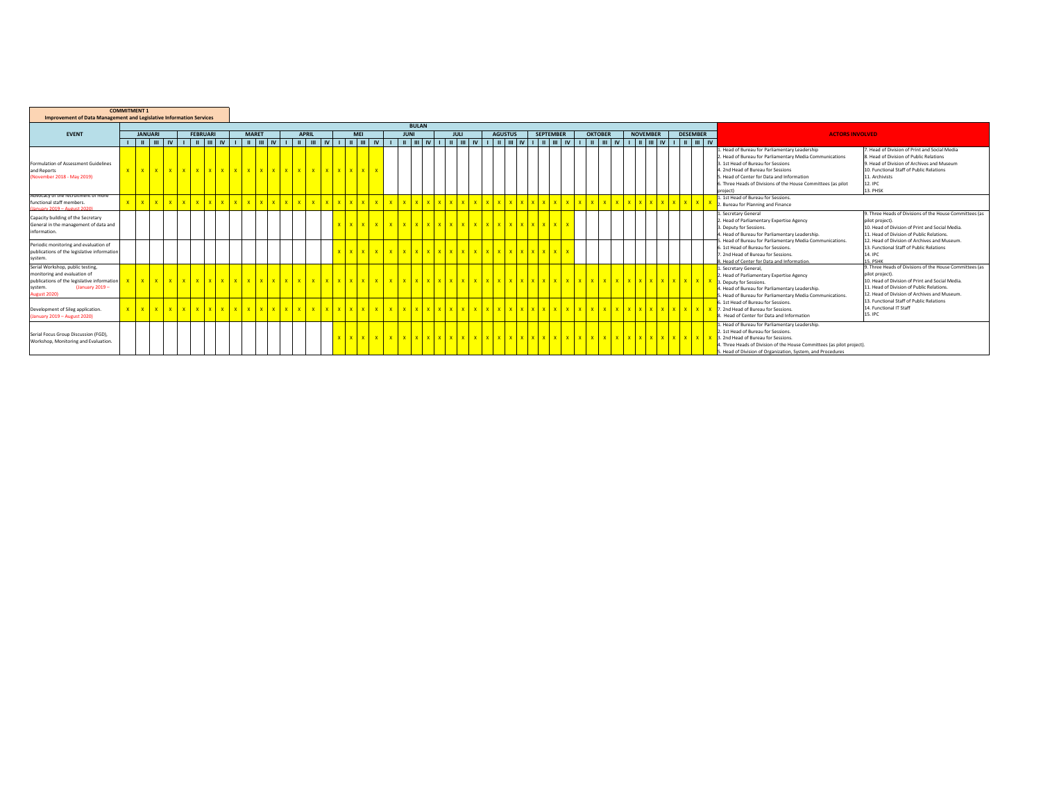| <b>Improvement of Data Management and Legislative Information Services</b>                                                                                   | <b>COMMITMENT 1</b> |                |                                |             |                 |                              |              |  |              |              |            |              |                          |              |  |             |  |                                     |  |                  |                |                             |                 |                      |                 |          |                                                                                                                                                                                                                                                                                                       |                                                                                                                                                                                                                             |
|--------------------------------------------------------------------------------------------------------------------------------------------------------------|---------------------|----------------|--------------------------------|-------------|-----------------|------------------------------|--------------|--|--------------|--------------|------------|--------------|--------------------------|--------------|--|-------------|--|-------------------------------------|--|------------------|----------------|-----------------------------|-----------------|----------------------|-----------------|----------|-------------------------------------------------------------------------------------------------------------------------------------------------------------------------------------------------------------------------------------------------------------------------------------------------------|-----------------------------------------------------------------------------------------------------------------------------------------------------------------------------------------------------------------------------|
|                                                                                                                                                              |                     |                |                                |             |                 |                              |              |  |              |              |            |              |                          | <b>BULAN</b> |  |             |  |                                     |  |                  |                |                             |                 |                      |                 |          |                                                                                                                                                                                                                                                                                                       |                                                                                                                                                                                                                             |
| <b>EVENT</b>                                                                                                                                                 |                     | <b>JANUARI</b> |                                |             | <b>FEBRUARI</b> |                              | <b>MARET</b> |  | <b>APRIL</b> |              | <b>MEI</b> |              |                          | <b>JUNI</b>  |  | <b>JULI</b> |  | <b>AGUSTUS</b>                      |  | <b>SEPTEMBER</b> | <b>OKTOBER</b> |                             | <b>NOVEMBER</b> |                      | <b>DESEMBER</b> |          | <b>ACTORS INVOLVED</b>                                                                                                                                                                                                                                                                                |                                                                                                                                                                                                                             |
|                                                                                                                                                              |                     |                |                                |             |                 |                              |              |  |              |              |            |              |                          |              |  |             |  |                                     |  |                  |                |                             |                 |                      |                 |          |                                                                                                                                                                                                                                                                                                       |                                                                                                                                                                                                                             |
| Formulation of Assessment Guidelines<br>and Reports<br>(November 2018 - May 2019)                                                                            |                     |                |                                |             |                 |                              |              |  |              |              |            |              |                          |              |  |             |  |                                     |  |                  |                |                             |                 |                      |                 | project) | L. Head of Bureau for Parliamentary Leadership<br>2. Head of Bureau for Parliamentary Media Communications<br>3. 1st Head of Bureau for Sessions<br>4. 2nd Head of Bureau for Sessions<br>5. Head of Center for Data and Information<br>6. Three Heads of Divisions of the House Committees (as pilot | 7. Head of Division of Print and Social Media<br>8. Head of Division of Public Relations<br>9. Head of Division of Archives and Museum<br>10. Functional Staff of Public Relations<br>11. Archivists<br>12. IPC<br>13. PHSK |
| Advocacy of the recruitment of more<br>functional staff members.<br>(January 2019 - August 2020)                                                             |                     | $x - x$        |                                | x x x x x x |                 | $\mathbf{x}$<br>$\mathbf{x}$ |              |  | $\mathbf{x}$ | $\mathbf{x}$ |            | X            | $-1$ $x$<br>$\mathbf{Y}$ |              |  | x x x       |  |                                     |  |                  |                |                             | x x             | X                    |                 |          | 1. 1st Head of Bureau for Sessions.<br>2. Bureau for Planning and Finance                                                                                                                                                                                                                             |                                                                                                                                                                                                                             |
| Capacity building of the Secretary<br>General in the management of data and<br>information.                                                                  |                     |                |                                |             |                 |                              |              |  |              |              |            | $\mathbf{x}$ | <b>V</b>                 |              |  |             |  | <u>Ixlxlxlxlxlxlxlxlxlxlxlxlxlx</u> |  |                  |                |                             |                 |                      |                 |          | . Secretary General<br>2. Head of Parliamentary Expertise Agency<br>3. Deputy for Sessions.<br>4. Head of Bureau for Parliamentary Leadership.                                                                                                                                                        | 9. Three Heads of Divisions of the House Committees (as<br>pilot project).<br>10. Head of Division of Print and Social Media.<br>11. Head of Division of Public Relations.                                                  |
| Periodic monitoring and evaluation of<br>publications of the legislative information<br>system.                                                              |                     |                |                                |             |                 |                              |              |  |              |              |            | $\mathbf{x}$ |                          |              |  |             |  |                                     |  |                  |                |                             |                 |                      |                 |          | Head of Bureau for Parliamentary Media Communications.<br>5. 1st Head of Bureau for Sessions.<br>7. 2nd Head of Bureau for Sessions<br>3. Head of Center for Data and Information.                                                                                                                    | 12. Head of Division of Archives and Museum.<br>13. Functional Staff of Public Relations<br>14. IPC<br>15 PSHK                                                                                                              |
| Serial Workshop, public testing,<br>monitoring and evaluation of<br>publications of the legislative information<br>(January 2019 -<br>system.<br>ugust 2020) |                     |                |                                |             |                 |                              |              |  |              |              |            |              |                          |              |  |             |  |                                     |  |                  |                | <u>I vilvivi vilvi vilv</u> |                 |                      |                 |          | L. Secretary General,<br>2. Head of Parliamentary Expertise Agency<br>3. Deputy for Sessions.<br>1. Head of Bureau for Parliamentary Leadership.<br>. Head of Bureau for Parliamentary Media Communications.                                                                                          | 9. Three Heads of Divisions of the House Committees (as<br>pilot project).<br>10. Head of Division of Print and Social Media.<br>11. Head of Division of Public Relations.<br>12. Head of Division of Archives and Museum.  |
| Development of Sileg application.<br>(January 2019 - August 2020)                                                                                            |                     |                | <u>v v v v v v v v v v v l</u> |             |                 | <b>x</b><br>$\mathbf{v}$     |              |  | <b>x</b>     | <b>x</b>     |            |              |                          |              |  |             |  |                                     |  |                  |                |                             |                 |                      |                 |          | 1st Head of Bureau for Sessions<br>7. 2nd Head of Bureau for Sessions<br>3. Head of Center for Data and Information                                                                                                                                                                                   | 13. Functional Staff of Public Relations<br>14. Functional IT Staff<br>15. IPC                                                                                                                                              |
| Serial Focus Group Discussion (FGD).<br>Workshop, Monitoring and Evaluation.                                                                                 |                     |                |                                |             |                 |                              |              |  |              |              |            |              |                          |              |  |             |  |                                     |  |                  |                | <b>x</b>                    |                 | <u>vlvivlvivlv</u> i |                 |          | 1. Head of Bureau for Parliamentary Leadership.<br>1st Head of Bureau for Sessions<br>3. 2nd Head of Bureau for Sessions<br>I. Three Heads of Division of the House Committees (as pilot project).<br>5. Head of Division of Organization, System, and Procedures                                     |                                                                                                                                                                                                                             |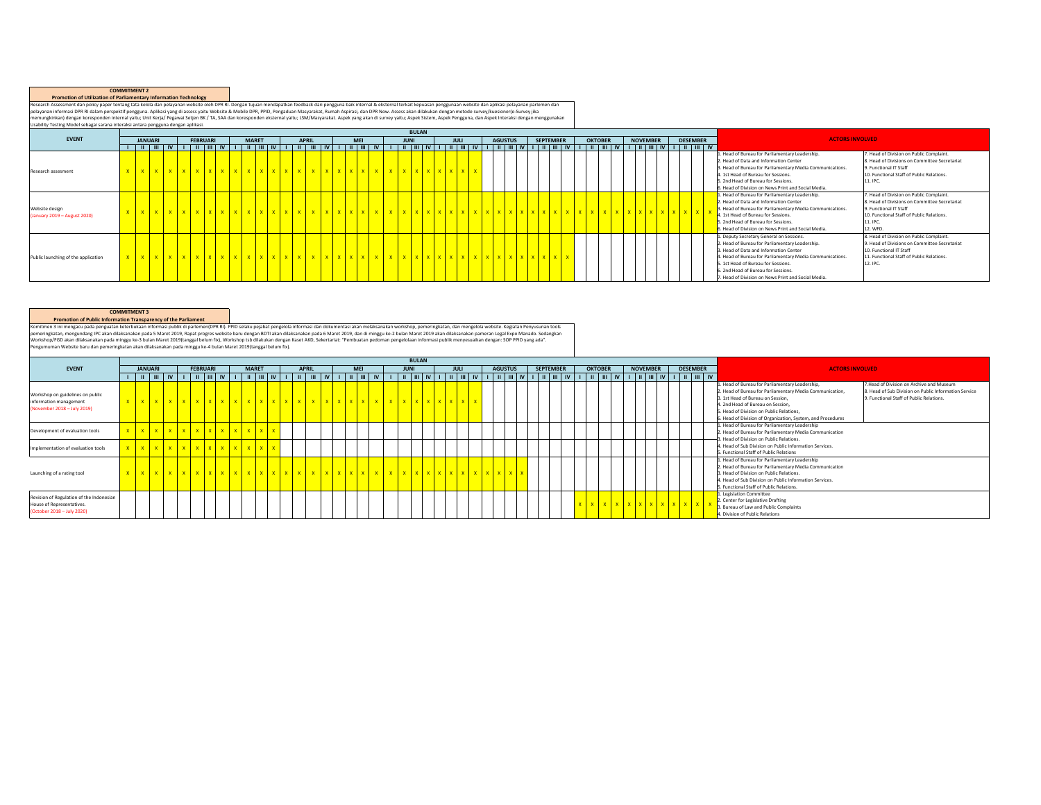## **COMMITMENT 2 Promotion of Utilization of Parliamentary Information Technology**

Research Assessment dan policy paper tentang tata kelola dan pelayanan website oleh Shake Research as in the makapatan halk internal & eksternal search Assessment dan aplikasi pelayanan parlemen dan pelayanan parlemen dan

|                                               |  |                |  |                 |  |              |  |              |  |            |  | <b>BULAN</b> |  |      |  |                |                  |  |                |  |                 |  |                 |                                                                                                                                                                                                                                                                                                                                         |                                                                                                                                                                                         |
|-----------------------------------------------|--|----------------|--|-----------------|--|--------------|--|--------------|--|------------|--|--------------|--|------|--|----------------|------------------|--|----------------|--|-----------------|--|-----------------|-----------------------------------------------------------------------------------------------------------------------------------------------------------------------------------------------------------------------------------------------------------------------------------------------------------------------------------------|-----------------------------------------------------------------------------------------------------------------------------------------------------------------------------------------|
| <b>EVENT</b>                                  |  | <b>JANUARI</b> |  | <b>FEBRUARI</b> |  | <b>MARET</b> |  | <b>APRIL</b> |  | <b>MEI</b> |  | <b>JUNI</b>  |  | JULI |  | <b>AGUSTUS</b> | <b>SEPTEMBER</b> |  | <b>OKTOBER</b> |  | <b>NOVEMBER</b> |  | <b>DESEMBER</b> | <b>ACTORS INVOLVED</b>                                                                                                                                                                                                                                                                                                                  |                                                                                                                                                                                         |
|                                               |  |                |  |                 |  |              |  |              |  |            |  |              |  |      |  |                |                  |  |                |  |                 |  |                 |                                                                                                                                                                                                                                                                                                                                         |                                                                                                                                                                                         |
| Research assesment                            |  |                |  |                 |  |              |  |              |  |            |  |              |  |      |  |                |                  |  |                |  |                 |  |                 | 1. Head of Bureau for Parliamentary Leadership.<br>2. Head of Data and Information Center<br>3. Head of Bureau for Parliamentary Media Communications.<br>4. 1st Head of Bureau for Sessions.<br>5. 2nd Head of Bureau for Sessions.<br>6. Head of Division on News Print and Social Media.                                             | 7. Head of Division on Public Complaint.<br>8. Head of Divisions on Committee Secretariat<br>9. Functional IT Staff<br>10. Functional Staff of Public Relations.<br>11. IPC             |
| Website design<br>January 2019 - August 2020) |  |                |  |                 |  |              |  |              |  |            |  |              |  |      |  |                |                  |  |                |  |                 |  |                 | 1. Head of Bureau for Parliamentary Leadership.<br>2. Head of Data and Information Center<br>3. Head of Bureau for Parliamentary Media Communications.<br>4. 1st Head of Bureau for Sessions.<br>5. 2nd Head of Bureau for Sessions.<br>6. Head of Division on News Print and Social Media.                                             | 7. Head of Division on Public Complaint.<br>8. Head of Divisions on Committee Secretariat<br>9. Functional IT Staff<br>10. Functional Staff of Public Relations.<br>11. IPC<br>12. WFD. |
| Public launching of the application           |  |                |  |                 |  |              |  |              |  |            |  |              |  |      |  |                |                  |  |                |  |                 |  |                 | 1. Deputy Secretary General on Sessions.<br>2. Head of Bureau for Parliamentary Leadership.<br>3. Head of Data and Information Center<br>4. Head of Bureau for Parliamentary Media Communications.<br>5. 1st Head of Bureau for Sessions.<br>6. 2nd Head of Bureau for Sessions.<br>7. Head of Division on News Print and Social Media. | 8. Head of Division on Public Complaint.<br>9. Head of Divisions on Committee Secretariat<br>10. Functional IT Staff<br>11. Functional Staff of Public Relations.<br>12. IPC            |

## **COMMITMENT 3 Promotion of Public Information Transparency of the Parliament**

Komitmen 3Ini mengundang Penguan keterbutan informasi publik di parlementPR PR pengunaan paramatan mengunaan memperantan memperantan kan melastanakan workshop, pemeringkann, dan mempelan memperantan paramatan paramatan par

|                                                                                                     |  |                |  |                 |  |              |                               |                                                                                                                                                                       |  |            |  |             | <b>BULAN</b> |      |  |                |  |                  |  |                |  |                 |  |                 |                                                                                                                                                                                                                                                                                                                                                                                                                                                   |
|-----------------------------------------------------------------------------------------------------|--|----------------|--|-----------------|--|--------------|-------------------------------|-----------------------------------------------------------------------------------------------------------------------------------------------------------------------|--|------------|--|-------------|--------------|------|--|----------------|--|------------------|--|----------------|--|-----------------|--|-----------------|---------------------------------------------------------------------------------------------------------------------------------------------------------------------------------------------------------------------------------------------------------------------------------------------------------------------------------------------------------------------------------------------------------------------------------------------------|
| <b>EVENT</b>                                                                                        |  | <b>JANUARI</b> |  | <b>FEBRUARI</b> |  | <b>MARET</b> |                               | <b>APRIL</b>                                                                                                                                                          |  | <b>MEI</b> |  | <b>JUNI</b> |              | JULI |  | <b>AGUSTUS</b> |  | <b>SEPTEMBER</b> |  | <b>OKTOBER</b> |  | <b>NOVEMBER</b> |  | <b>DESEMBER</b> | <b>ACTORS INVOLVED</b>                                                                                                                                                                                                                                                                                                                                                                                                                            |
|                                                                                                     |  |                |  |                 |  |              |                               | ı   u   w   u   u   u   w   ı   u   w   ı   u   w   ı   u   w   u   u   w   ı   u   u   v   ı   u   w   ı   u   w   ı   u   w   ı   u   w   ı   u   w   v   ı   u   w |  |            |  |             |              |      |  |                |  |                  |  |                |  |                 |  |                 |                                                                                                                                                                                                                                                                                                                                                                                                                                                   |
| Workshop on guidelines on public<br>information management<br>(November 2018 - July 2019)           |  |                |  |                 |  |              |                               |                                                                                                                                                                       |  |            |  |             |              |      |  |                |  |                  |  |                |  |                 |  |                 | 7.Head of Division on Archive and Museum<br>1. Head of Bureau for Parliamentary Leadership.<br>2. Head of Bureau for Parliamentary Media Communication.<br>8. Head of Sub Division on Public Information Service<br>9. Functional Staff of Public Relations.<br>3. 1st Head of Bureau on Session.<br>4. 2nd Head of Bureau on Session.<br>5. Head of Division on Public Relations.<br>6. Head of Division of Organization, System, and Procedures |
| Development of evaluation tools                                                                     |  |                |  |                 |  |              | x x x x x x x x x x x x x x x |                                                                                                                                                                       |  |            |  |             |              |      |  |                |  |                  |  |                |  |                 |  |                 | 1. Head of Bureau for Parliamentary Leadership<br>2. Head of Bureau for Parliamentary Media Communication<br>3. Head of Division on Public Relations.                                                                                                                                                                                                                                                                                             |
| Implementation of evaluation tools                                                                  |  |                |  |                 |  |              | x x x x x x x x x x x x x x   |                                                                                                                                                                       |  |            |  |             |              |      |  |                |  |                  |  |                |  |                 |  |                 | 4. Head of Sub Division on Public Information Services.<br>5. Functional Staff of Public Relations                                                                                                                                                                                                                                                                                                                                                |
| Launching of a rating tool                                                                          |  |                |  |                 |  |              |                               |                                                                                                                                                                       |  |            |  |             |              |      |  |                |  |                  |  |                |  |                 |  |                 | . Head of Bureau for Parliamentary Leadership<br>2. Head of Bureau for Parliamentary Media Communication<br>3. Head of Division on Public Relations.<br>4. Head of Sub Division on Public Information Services.<br>5. Functional Staff of Public Relations.                                                                                                                                                                                       |
| Revision of Regulation of the Indonesian<br>House of Representatives.<br>(October 2018 - July 2020) |  |                |  |                 |  |              |                               |                                                                                                                                                                       |  |            |  |             |              |      |  |                |  |                  |  |                |  |                 |  |                 | 1. Legislation Committee<br>2. Center for Legislative Drafting<br>. Bureau of Law and Public Complaints<br>4. Division of Public Relations                                                                                                                                                                                                                                                                                                        |